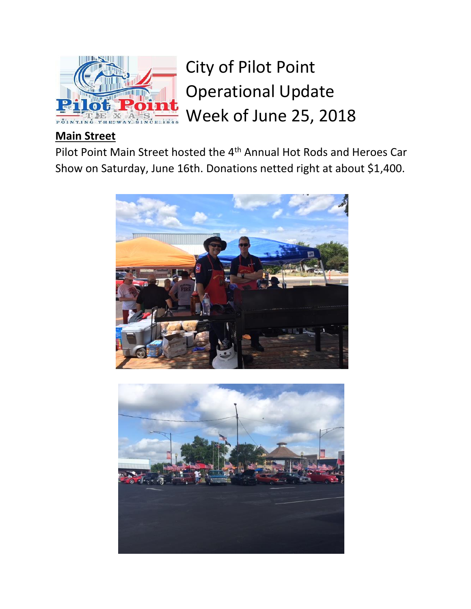

City of Pilot Point Operational Update Week of June 25, 2018

## **Main Street**

Pilot Point Main Street hosted the 4th Annual Hot Rods and Heroes Car Show on Saturday, June 16th. Donations netted right at about \$1,400.



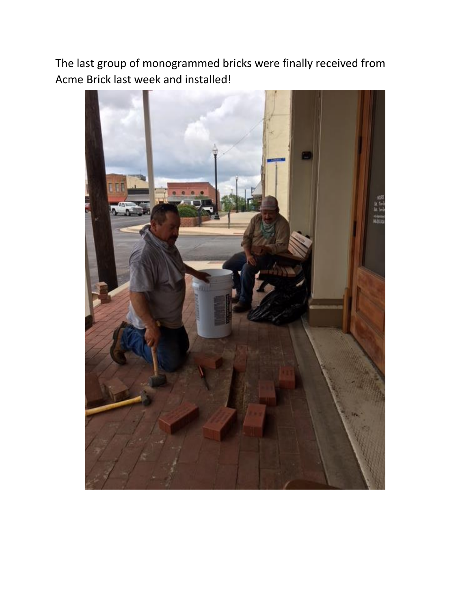The last group of monogrammed bricks were finally received from Acme Brick last week and installed!

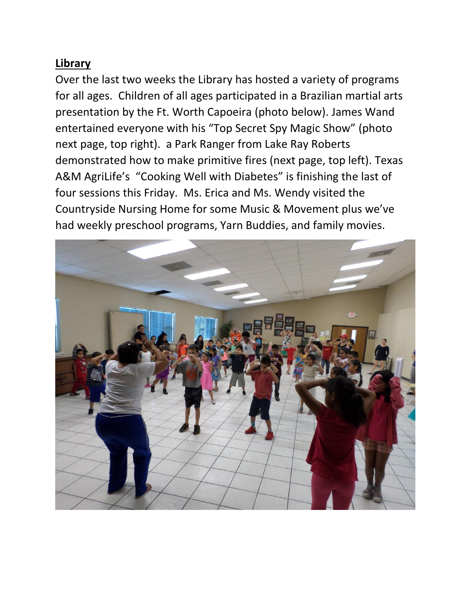## **Library**

Over the last two weeks the Library has hosted a variety of programs for all ages. Children of all ages participated in a Brazilian martial arts presentation by the Ft. Worth Capoeira (photo below). James Wand entertained everyone with his "Top Secret Spy Magic Show" (photo next page, top right). a Park Ranger from Lake Ray Roberts demonstrated how to make primitive fires (next page, top left). Texas A&M AgriLife's "Cooking Well with Diabetes" is finishing the last of four sessions this Friday. Ms. Erica and Ms. Wendy visited the Countryside Nursing Home for some Music & Movement plus we've had weekly preschool programs, Yarn Buddies, and family movies.

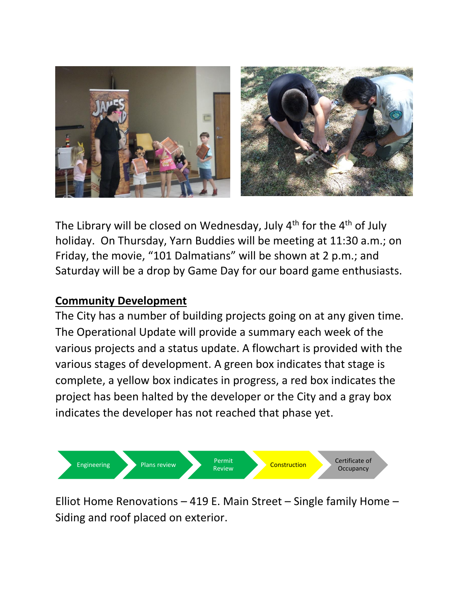

The Library will be closed on Wednesday, July  $4<sup>th</sup>$  for the  $4<sup>th</sup>$  of July holiday. On Thursday, Yarn Buddies will be meeting at 11:30 a.m.; on Friday, the movie, "101 Dalmatians" will be shown at 2 p.m.; and Saturday will be a drop by Game Day for our board game enthusiasts.

## **Community Development**

The City has a number of building projects going on at any given time. The Operational Update will provide a summary each week of the various projects and a status update. A flowchart is provided with the various stages of development. A green box indicates that stage is complete, a yellow box indicates in progress, a red box indicates the project has been halted by the developer or the City and a gray box indicates the developer has not reached that phase yet.



Elliot Home Renovations – 419 E. Main Street – Single family Home – Siding and roof placed on exterior.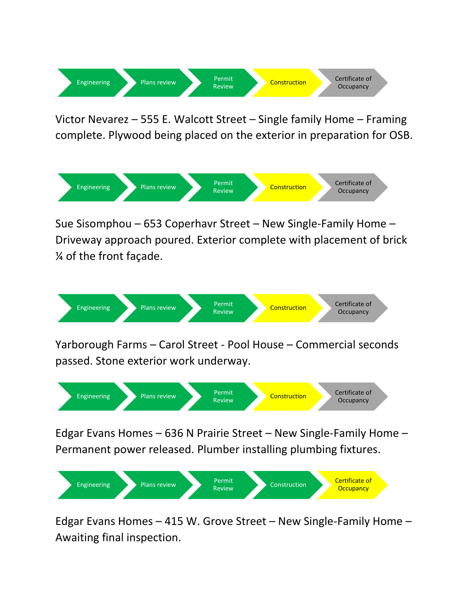

Victor Nevarez – 555 E. Walcott Street – Single family Home – Framing complete. Plywood being placed on the exterior in preparation for OSB.



Sue Sisomphou – 653 Coperhavr Street – New Single-Family Home – Driveway approach poured. Exterior complete with placement of brick ¼ of the front façade.



Yarborough Farms – Carol Street - Pool House – Commercial seconds passed. Stone exterior work underway.



Edgar Evans Homes – 636 N Prairie Street – New Single-Family Home – Permanent power released. Plumber installing plumbing fixtures.



Edgar Evans Homes – 415 W. Grove Street – New Single-Family Home – Awaiting final inspection.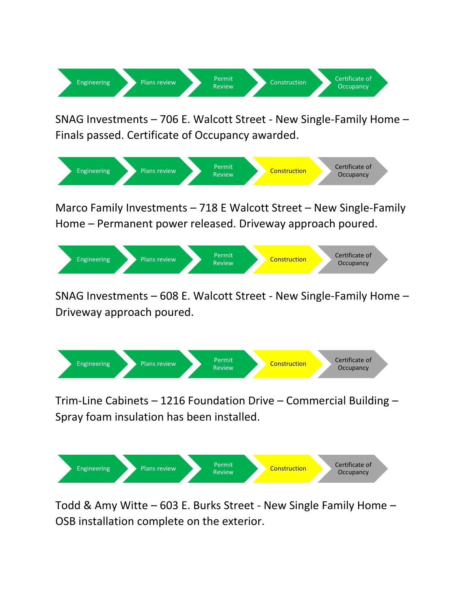

SNAG Investments – 706 E. Walcott Street - New Single-Family Home – Finals passed. Certificate of Occupancy awarded.



Marco Family Investments – 718 E Walcott Street – New Single-Family Home – Permanent power released. Driveway approach poured.



SNAG Investments – 608 E. Walcott Street - New Single-Family Home – Driveway approach poured.



Trim-Line Cabinets – 1216 Foundation Drive – Commercial Building – Spray foam insulation has been installed.



Todd & Amy Witte – 603 E. Burks Street - New Single Family Home – OSB installation complete on the exterior.